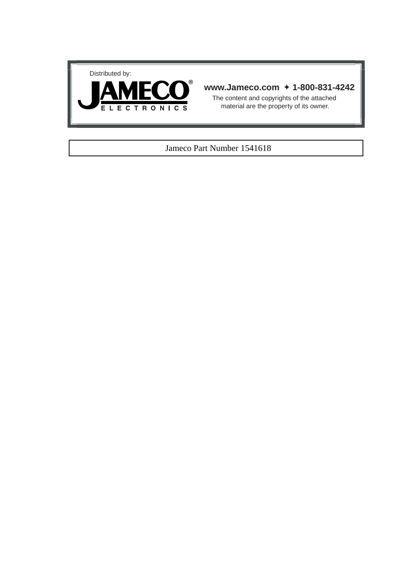



## **www.Jameco.com** ✦ **1-800-831-4242**

The content and copyrights of the attached material are the property of its owner.

### Jameco Part Number 1541618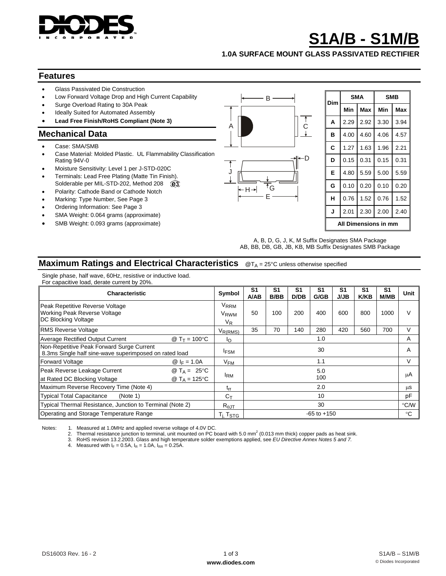

# **S1A/B - S1M/B**

**1.0A SURFACE MOUNT GLASS PASSIVATED RECTIFIER** 

#### **Features**

- Glass Passivated Die Construction
- Low Forward Voltage Drop and High Current Capability
- Surge Overload Rating to 30A Peak
- Ideally Suited for Automated Assembly
- **Lead Free Finish/RoHS Compliant (Note 3)**

#### **Mechanical Data**

- Case: SMA/SMB
- Case Material: Molded Plastic. UL Flammability Classification Rating 94V-0
- Moisture Sensitivity: Level 1 per J-STD-020C
- Terminals: Lead Free Plating (Matte Tin Finish). Solderable per MIL-STD-202, Method 208 @3
- Polarity: Cathode Band or Cathode Notch
- Marking: Type Number, See Page 3
- Ordering Information: See Page 3
- SMA Weight: 0.064 grams (approximate)
- SMB Weight: 0.093 grams (approximate)



| Dim                  |      | <b>SMA</b> | <b>SMB</b> |      |  |  |
|----------------------|------|------------|------------|------|--|--|
|                      | Min  | Max        | Min        | Max  |  |  |
| A                    | 2.29 | 2.92       | 3.30       | 3.94 |  |  |
| в                    | 4.00 | 4.60       | 4.06       | 4.57 |  |  |
| C                    | 1.27 | 1.63       | 1.96       | 2.21 |  |  |
| D                    | 0.15 | 0.31       | 0.15       | 0.31 |  |  |
| Е                    | 4.80 | 5.59       | 5.00       | 5.59 |  |  |
| G                    | 0.10 | 0.20       | 0.10       | 0.20 |  |  |
| н                    | 0.76 | 1.52       | 0.76       | 1.52 |  |  |
| J                    | 2.01 | 2.30       | 2.00       | 2.40 |  |  |
| All Dimensions in mm |      |            |            |      |  |  |

A, B, D, G, J, K, M Suffix Designates SMA Package AB, BB, DB, GB, JB, KB, MB Suffix Designates SMB Package

## **Maximum Ratings and Electrical Characteristics** @T<sub>A</sub> = 25°C unless otherwise specified

Single phase, half wave, 60Hz, resistive or inductive load. For capacitive load, derate current by 20%.

| <b>Characteristic</b>                                                                                     |                        | Symbol                                                | S1<br>A/AB                           | S <sub>1</sub><br>B/BB | S1<br>D/DB | S1<br>G/GB | S <sub>1</sub><br><b>J/JB</b> | S1<br><b>K/KB</b> | S <sub>1</sub><br>M/MB | Unit          |
|-----------------------------------------------------------------------------------------------------------|------------------------|-------------------------------------------------------|--------------------------------------|------------------------|------------|------------|-------------------------------|-------------------|------------------------|---------------|
| Peak Repetitive Reverse Voltage<br>Working Peak Reverse Voltage<br>DC Blocking Voltage                    |                        | V <sub>RRM</sub><br><b>V<sub>RWM</sub></b><br>$V_{R}$ | 50                                   | 100                    | 200        | 400        | 600                           | 800               | 1000                   | $\mathcal{U}$ |
| <b>RMS Reverse Voltage</b>                                                                                |                        | $V_{R(RMS)}$                                          | 35                                   | 70                     | 140        | 280        | 420                           | 560               | 700                    | V             |
| Average Rectified Output Current                                                                          | @ $T_T = 100^{\circ}C$ | Ιo                                                    |                                      |                        |            | 1.0        |                               |                   |                        | A             |
| Non-Repetitive Peak Forward Surge Current<br>8.3ms Single half sine-wave superimposed on rated load       |                        |                                                       | 30                                   |                        |            |            | A                             |                   |                        |               |
| Forward Voltage                                                                                           | $@I_F = 1.0A$          | V <sub>FM</sub>                                       |                                      |                        |            | 1.1        |                               |                   |                        | $\vee$        |
| Peak Reverse Leakage Current<br>@ $T_A = 25^{\circ}C$<br>at Rated DC Blocking Voltage<br>@ $T_A = 125$ °C |                        | <sup>I</sup> RM                                       | 5.0<br>100                           |                        |            |            | μA                            |                   |                        |               |
| Maximum Reverse Recovery Time (Note 4)                                                                    |                        |                                                       | 2.0                                  |                        |            |            |                               | μS                |                        |               |
| Typical Total Capacitance<br>(Note 1)                                                                     |                        |                                                       | 10                                   |                        |            |            |                               | pF                |                        |               |
| Typical Thermal Resistance, Junction to Terminal (Note 2)                                                 |                        |                                                       | 30                                   |                        |            |            |                               |                   | °C/W                   |               |
| Operating and Storage Temperature Range                                                                   |                        |                                                       | $-65$ to $+150$<br>$T_i$ , $T_{STG}$ |                        |            |            |                               | °C                |                        |               |

Notes: 1. Measured at 1.0MHz and applied reverse voltage of 4.0V DC.

2. Thermal resistance junction to terminal, unit mounted on PC board with 5.0 mm<sup>2</sup> (0.013 mm thick) copper pads as heat sink.

3. RoHS revision 13.2.2003. Glass and high temperature solder exemptions applied, see *EU Directive Annex Notes 5 and 7.*

Measured with  $I_F = 0.5A$ ,  $I_R = 1.0A$ ,  $I_{RR} = 0.25A$ .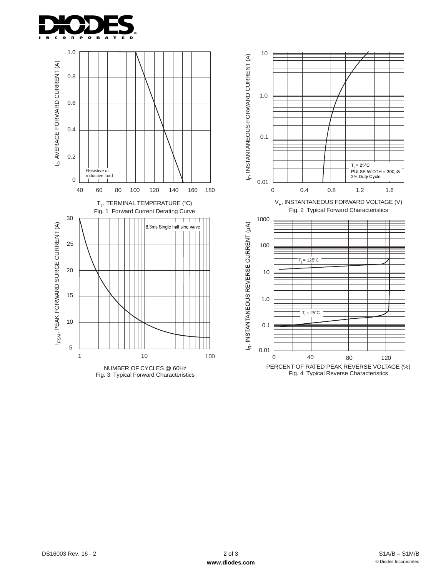